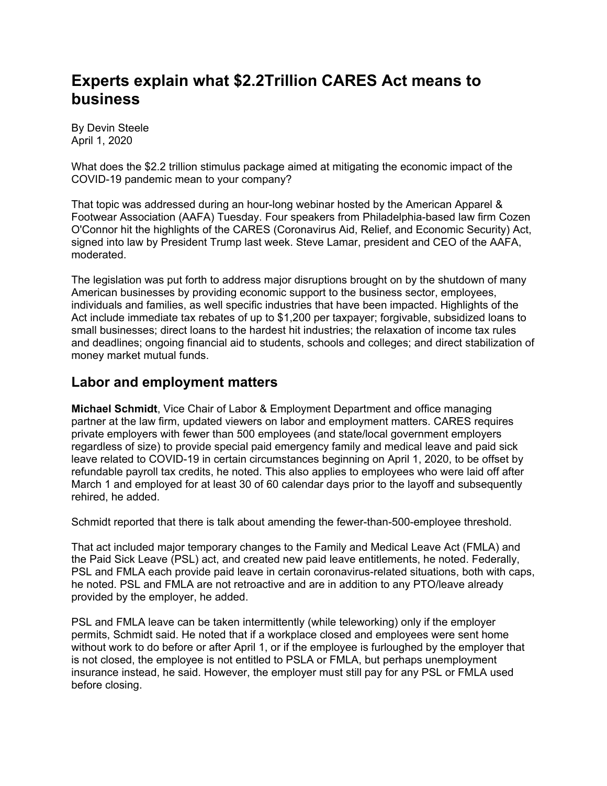# **Experts explain what \$2.2Trillion CARES Act means to business**

By Devin Steele April 1, 2020

What does the \$2.2 trillion stimulus package aimed at mitigating the economic impact of the COVID-19 pandemic mean to your company?

That topic was addressed during an hour-long webinar hosted by the American Apparel & Footwear Association (AAFA) Tuesday. Four speakers from Philadelphia-based law firm Cozen O'Connor hit the highlights of the CARES (Coronavirus Aid, Relief, and Economic Security) Act, signed into law by President Trump last week. Steve Lamar, president and CEO of the AAFA, moderated.

The legislation was put forth to address major disruptions brought on by the shutdown of many American businesses by providing economic support to the business sector, employees, individuals and families, as well specific industries that have been impacted. Highlights of the Act include immediate tax rebates of up to \$1,200 per taxpayer; forgivable, subsidized loans to small businesses; direct loans to the hardest hit industries; the relaxation of income tax rules and deadlines; ongoing financial aid to students, schools and colleges; and direct stabilization of money market mutual funds.

### **Labor and employment matters**

**Michael Schmidt**, Vice Chair of Labor & Employment Department and office managing partner at the law firm, updated viewers on labor and employment matters. CARES requires private employers with fewer than 500 employees (and state/local government employers regardless of size) to provide special paid emergency family and medical leave and paid sick leave related to COVID-19 in certain circumstances beginning on April 1, 2020, to be offset by refundable payroll tax credits, he noted. This also applies to employees who were laid off after March 1 and employed for at least 30 of 60 calendar days prior to the layoff and subsequently rehired, he added.

Schmidt reported that there is talk about amending the fewer-than-500-employee threshold.

That act included major temporary changes to the Family and Medical Leave Act (FMLA) and the Paid Sick Leave (PSL) act, and created new paid leave entitlements, he noted. Federally, PSL and FMLA each provide paid leave in certain coronavirus-related situations, both with caps, he noted. PSL and FMLA are not retroactive and are in addition to any PTO/leave already provided by the employer, he added.

PSL and FMLA leave can be taken intermittently (while teleworking) only if the employer permits, Schmidt said. He noted that if a workplace closed and employees were sent home without work to do before or after April 1, or if the employee is furloughed by the employer that is not closed, the employee is not entitled to PSLA or FMLA, but perhaps unemployment insurance instead, he said. However, the employer must still pay for any PSL or FMLA used before closing.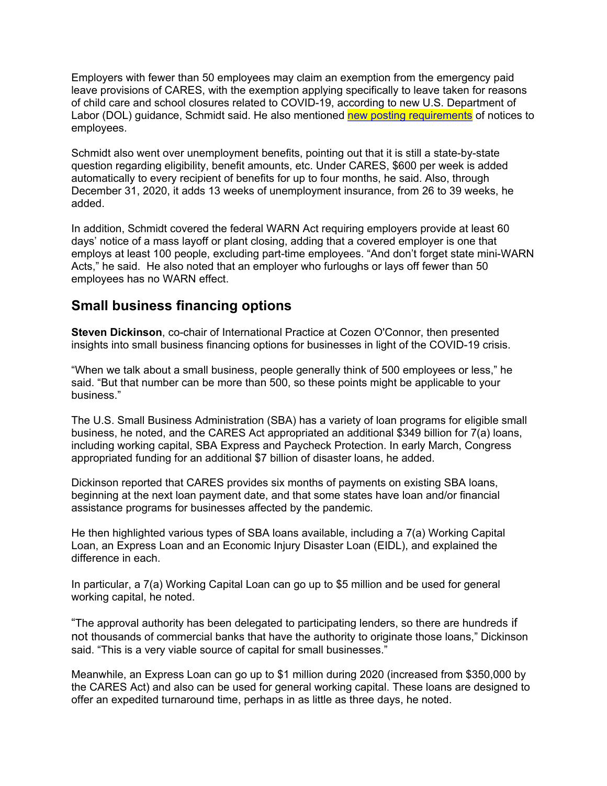Employers with fewer than 50 employees may claim an exemption from the emergency paid leave provisions of CARES, with the exemption applying specifically to leave taken for reasons of child care and school closures related to COVID-19, according to new U.S. Department of Labor (DOL) guidance, Schmidt said. He also mentioned new posting requirements of notices to employees.

Schmidt also went over unemployment benefits, pointing out that it is still a state-by-state question regarding eligibility, benefit amounts, etc. Under CARES, \$600 per week is added automatically to every recipient of benefits for up to four months, he said. Also, through December 31, 2020, it adds 13 weeks of unemployment insurance, from 26 to 39 weeks, he added.

In addition, Schmidt covered the federal WARN Act requiring employers provide at least 60 days' notice of a mass layoff or plant closing, adding that a covered employer is one that employs at least 100 people, excluding part-time employees. "And don't forget state mini-WARN Acts," he said. He also noted that an employer who furloughs or lays off fewer than 50 employees has no WARN effect.

# **Small business financing options**

**Steven Dickinson**, co-chair of International Practice at Cozen O'Connor, then presented insights into small business financing options for businesses in light of the COVID-19 crisis.

"When we talk about a small business, people generally think of 500 employees or less," he said. "But that number can be more than 500, so these points might be applicable to your business."

The U.S. Small Business Administration (SBA) has a variety of loan programs for eligible small business, he noted, and the CARES Act appropriated an additional \$349 billion for 7(a) loans, including working capital, SBA Express and Paycheck Protection. In early March, Congress appropriated funding for an additional \$7 billion of disaster loans, he added.

Dickinson reported that CARES provides six months of payments on existing SBA loans, beginning at the next loan payment date, and that some states have loan and/or financial assistance programs for businesses affected by the pandemic.

He then highlighted various types of SBA loans available, including a 7(a) Working Capital Loan, an Express Loan and an Economic Injury Disaster Loan (EIDL), and explained the difference in each.

In particular, a 7(a) Working Capital Loan can go up to \$5 million and be used for general working capital, he noted.

"The approval authority has been delegated to participating lenders, so there are hundreds if not thousands of commercial banks that have the authority to originate those loans," Dickinson said. "This is a very viable source of capital for small businesses."

Meanwhile, an Express Loan can go up to \$1 million during 2020 (increased from \$350,000 by the CARES Act) and also can be used for general working capital. These loans are designed to offer an expedited turnaround time, perhaps in as little as three days, he noted.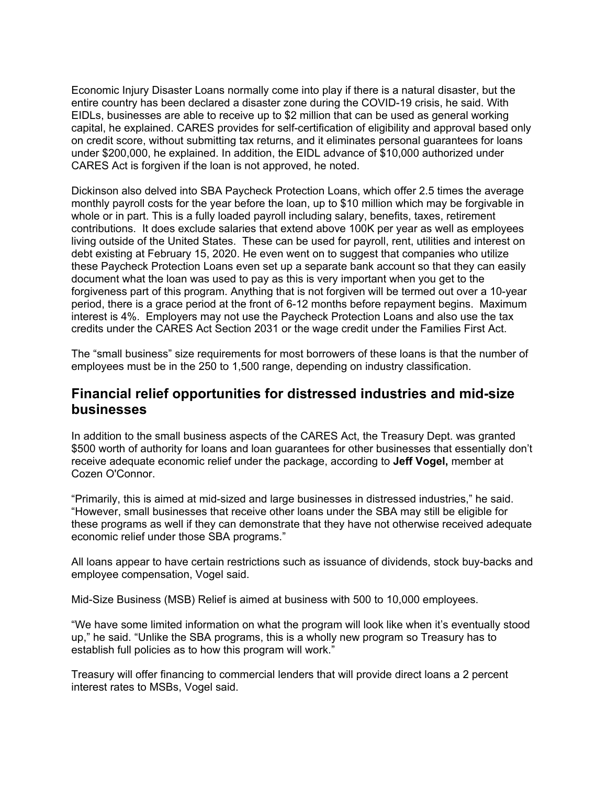Economic Injury Disaster Loans normally come into play if there is a natural disaster, but the entire country has been declared a disaster zone during the COVID-19 crisis, he said. With EIDLs, businesses are able to receive up to \$2 million that can be used as general working capital, he explained. CARES provides for self-certification of eligibility and approval based only on credit score, without submitting tax returns, and it eliminates personal guarantees for loans under \$200,000, he explained. In addition, the EIDL advance of \$10,000 authorized under CARES Act is forgiven if the loan is not approved, he noted.

Dickinson also delved into SBA Paycheck Protection Loans, which offer 2.5 times the average monthly payroll costs for the year before the loan, up to \$10 million which may be forgivable in whole or in part. This is a fully loaded payroll including salary, benefits, taxes, retirement contributions. It does exclude salaries that extend above 100K per year as well as employees living outside of the United States. These can be used for payroll, rent, utilities and interest on debt existing at February 15, 2020. He even went on to suggest that companies who utilize these Paycheck Protection Loans even set up a separate bank account so that they can easily document what the loan was used to pay as this is very important when you get to the forgiveness part of this program. Anything that is not forgiven will be termed out over a 10-year period, there is a grace period at the front of 6-12 months before repayment begins. Maximum interest is 4%. Employers may not use the Paycheck Protection Loans and also use the tax credits under the CARES Act Section 2031 or the wage credit under the Families First Act.

The "small business" size requirements for most borrowers of these loans is that the number of employees must be in the 250 to 1,500 range, depending on industry classification.

### **Financial relief opportunities for distressed industries and mid-size businesses**

In addition to the small business aspects of the CARES Act, the Treasury Dept. was granted \$500 worth of authority for loans and loan guarantees for other businesses that essentially don't receive adequate economic relief under the package, according to **Jeff Vogel,** member at Cozen O'Connor.

"Primarily, this is aimed at mid-sized and large businesses in distressed industries," he said. "However, small businesses that receive other loans under the SBA may still be eligible for these programs as well if they can demonstrate that they have not otherwise received adequate economic relief under those SBA programs."

All loans appear to have certain restrictions such as issuance of dividends, stock buy-backs and employee compensation, Vogel said.

Mid-Size Business (MSB) Relief is aimed at business with 500 to 10,000 employees.

"We have some limited information on what the program will look like when it's eventually stood up," he said. "Unlike the SBA programs, this is a wholly new program so Treasury has to establish full policies as to how this program will work."

Treasury will offer financing to commercial lenders that will provide direct loans a 2 percent interest rates to MSBs, Vogel said.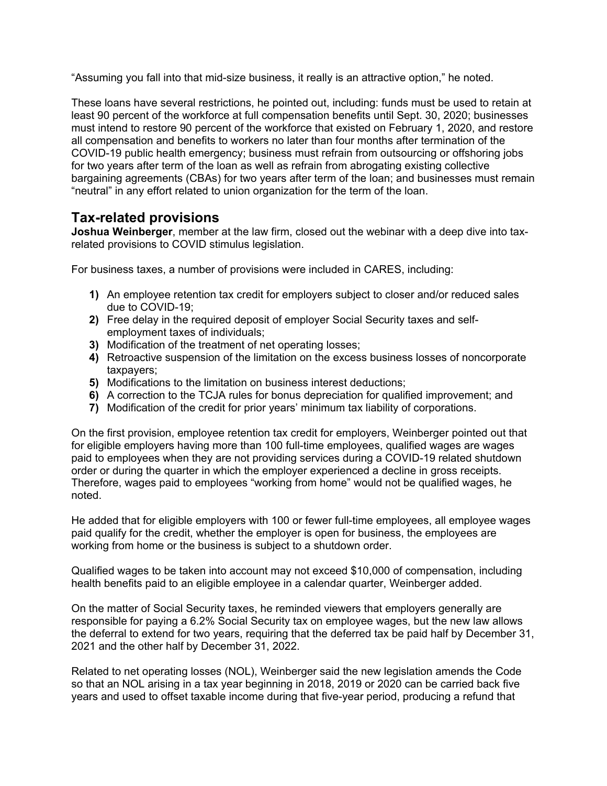"Assuming you fall into that mid-size business, it really is an attractive option," he noted.

These loans have several restrictions, he pointed out, including: funds must be used to retain at least 90 percent of the workforce at full compensation benefits until Sept. 30, 2020; businesses must intend to restore 90 percent of the workforce that existed on February 1, 2020, and restore all compensation and benefits to workers no later than four months after termination of the COVID-19 public health emergency; business must refrain from outsourcing or offshoring jobs for two years after term of the loan as well as refrain from abrogating existing collective bargaining agreements (CBAs) for two years after term of the loan; and businesses must remain "neutral" in any effort related to union organization for the term of the loan.

# **Tax-related provisions**

**Joshua Weinberger**, member at the law firm, closed out the webinar with a deep dive into taxrelated provisions to COVID stimulus legislation.

For business taxes, a number of provisions were included in CARES, including:

- **1)** An employee retention tax credit for employers subject to closer and/or reduced sales due to COVID-19;
- **2)** Free delay in the required deposit of employer Social Security taxes and selfemployment taxes of individuals;
- **3)** Modification of the treatment of net operating losses;
- **4)** Retroactive suspension of the limitation on the excess business losses of noncorporate taxpayers;
- **5)** Modifications to the limitation on business interest deductions;
- **6)** A correction to the TCJA rules for bonus depreciation for qualified improvement; and
- **7)** Modification of the credit for prior years' minimum tax liability of corporations.

On the first provision, employee retention tax credit for employers, Weinberger pointed out that for eligible employers having more than 100 full-time employees, qualified wages are wages paid to employees when they are not providing services during a COVID-19 related shutdown order or during the quarter in which the employer experienced a decline in gross receipts. Therefore, wages paid to employees "working from home" would not be qualified wages, he noted.

He added that for eligible employers with 100 or fewer full-time employees, all employee wages paid qualify for the credit, whether the employer is open for business, the employees are working from home or the business is subject to a shutdown order.

Qualified wages to be taken into account may not exceed \$10,000 of compensation, including health benefits paid to an eligible employee in a calendar quarter, Weinberger added.

On the matter of Social Security taxes, he reminded viewers that employers generally are responsible for paying a 6.2% Social Security tax on employee wages, but the new law allows the deferral to extend for two years, requiring that the deferred tax be paid half by December 31, 2021 and the other half by December 31, 2022.

Related to net operating losses (NOL), Weinberger said the new legislation amends the Code so that an NOL arising in a tax year beginning in 2018, 2019 or 2020 can be carried back five years and used to offset taxable income during that five-year period, producing a refund that